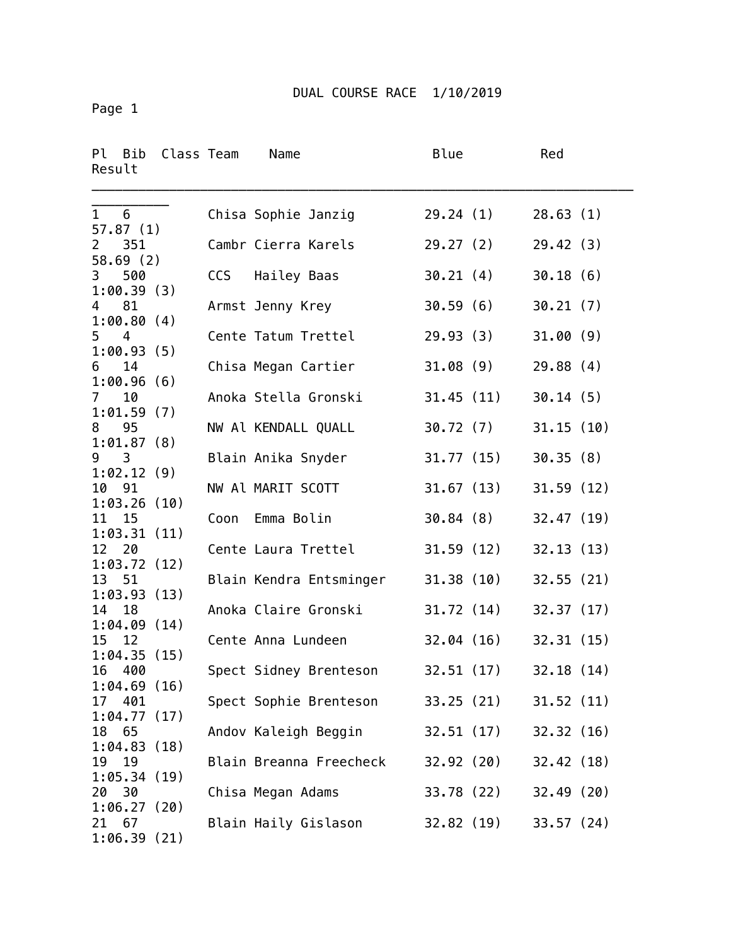Page 1

| Ρl<br>Bib<br>Result                    | Class Team | Name                    | Blue       | Red                     |  |
|----------------------------------------|------------|-------------------------|------------|-------------------------|--|
| 6<br>$\mathbf{1}$<br>57.87(1)          |            | Chisa Sophie Janzig     | 29.24(1)   | 28.63(1)                |  |
| $\overline{2}$<br>351<br>58.69(2)      |            | Cambr Cierra Karels     | 29.27(2)   | 29.42(3)                |  |
| 3<br>500                               | <b>CCS</b> | Hailey Baas             | 30.21(4)   | 30.18(6)                |  |
| 1:00.39(3)<br>4 81                     |            | Armst Jenny Krey        | 30.59(6)   | 30.21(7)                |  |
| 1:00.80(4)<br>5 <sub>4</sub>           |            | Cente Tatum Trettel     | 29.93(3)   | 31.00(9)                |  |
| 1:00.93(5)<br>14<br>6                  |            | Chisa Megan Cartier     | 31.08(9)   | 29.88(4)                |  |
| 1:00.96(6)<br>10<br>$\mathcal{I}$      |            | Anoka Stella Gronski    |            | 31.45(11)<br>30.14(5)   |  |
| 1:01.59(7)<br>95<br>8                  |            | NW Al KENDALL QUALL     | 30.72 (7)  | 31.15(10)               |  |
| 1:01.87(8)<br>$9 \quad 3$              |            | Blain Anika Snyder      |            | 31.77(15)<br>30.35(8)   |  |
| 1:02.12(9)<br>10 91                    |            | NW Al MARIT SCOTT       |            | 31.67(13)<br>31.59(12)  |  |
| 1:03.26(10)<br>11<br>15                | Coon       | Emma Bolin              | 30.84(8)   | 32.47(19)               |  |
| 1:03.31(11)<br>12 20                   |            | Cente Laura Trettel     | 31.59(12)  | 32.13(13)               |  |
| 1:03.72(12)                            |            |                         |            |                         |  |
| 13<br>51<br>1:03.93(13)                |            | Blain Kendra Entsminger |            | 31.38 (10)<br>32.55(21) |  |
| 18<br>14<br>1:04.09(14)                |            | Anoka Claire Gronski    |            | 31.72 (14)<br>32.37(17) |  |
| 15<br>12<br>1:04.35(15)                |            | Cente Anna Lundeen      |            | 32.04 (16)<br>32.31(15) |  |
| 400<br>16<br>1:04.69(16)               |            | Spect Sidney Brenteson  | 32.51(17)  | 32.18(14)               |  |
| 17 401<br>1:04.77(17)                  |            | Spect Sophie Brenteson  |            | 33.25(21)<br>31.52(11)  |  |
| 65<br>18<br>1:04.83(18)                |            | Andov Kaleigh Beggin    | 32.51(17)  | 32.32 (16)              |  |
| 19<br>19<br>1:05.34(19)                |            | Blain Breanna Freecheck | 32.92(20)  | 32.42 (18)              |  |
| 20<br>30                               |            | Chisa Megan Adams       | 33.78 (22) | 32.49(20)               |  |
| 1:06.27(20)<br>67<br>21<br>1:06.39(21) |            | Blain Haily Gislason    | 32.82(19)  | 33.57(24)               |  |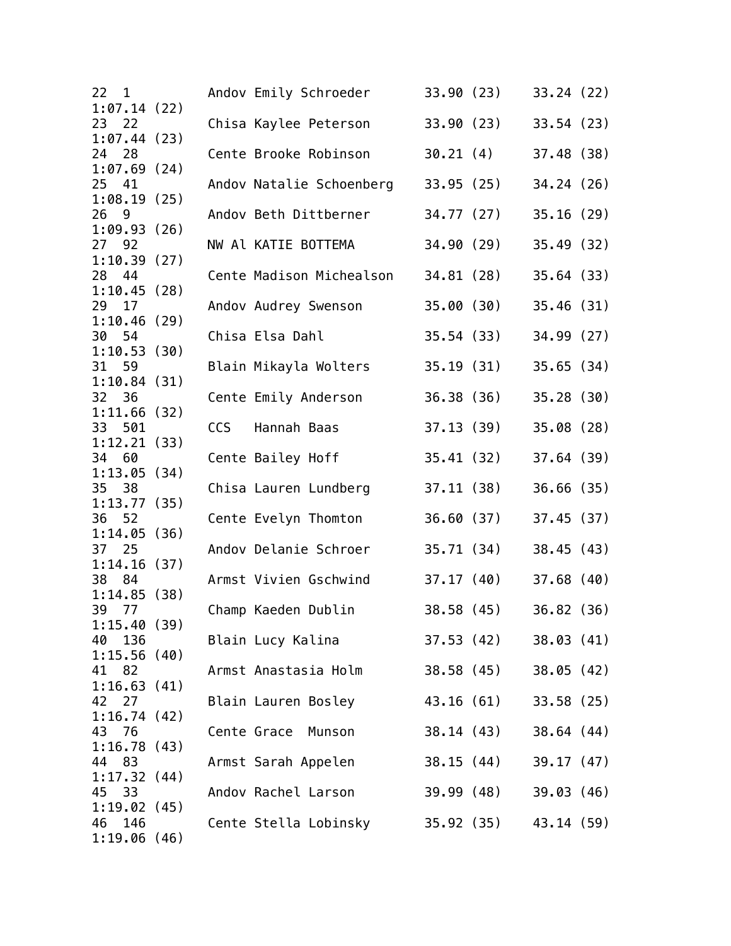| 22<br>$\mathbf{1}$                     |     | Andov Emily Schroeder    |            | 33.90 (23)              | 33.24(22)  |  |
|----------------------------------------|-----|--------------------------|------------|-------------------------|------------|--|
| 1:07.14(22)<br>23<br>22<br>1:07.44(23) |     | Chisa Kaylee Peterson    |            | 33.90 (23)              | 33.54(23)  |  |
| 24 28<br>1:07.69(24)                   |     | Cente Brooke Robinson    |            | 30.21(4)                | 37.48 (38) |  |
| 25 41<br>1:08.19(25)                   |     | Andov Natalie Schoenberg |            | 33.95 (25)              | 34.24(26)  |  |
| 26<br>9<br>1:09.93(26)                 |     | Andov Beth Dittberner    | 34.77(27)  |                         | 35.16(29)  |  |
| 27 92                                  |     | NW Al KATIE BOTTEMA      | 34.90 (29) |                         | 35.49(32)  |  |
| 1:10.39(27)<br>28 44<br>1:10.45(28)    |     | Cente Madison Michealson | 34.81(28)  |                         | 35.64(33)  |  |
| 29<br>17<br>1:10.46(29)                |     | Andov Audrey Swenson     |            | 35.00 (30)              | 35.46(31)  |  |
| 30<br>54<br>1:10.53(30)                |     | Chisa Elsa Dahl          |            | 35.54 (33)              | 34.99(27)  |  |
| 31 59<br>1:10.84(31)                   |     | Blain Mikayla Wolters    |            | 35.19 (31)              | 35.65(34)  |  |
| 32 36<br>1:11.66(32)                   |     | Cente Emily Anderson     |            | 36.38 (36)              | 35.28(30)  |  |
| 33 501<br>1:12.21(33)                  | CCS | Hannah Baas              | 37.13(39)  |                         | 35.08(28)  |  |
| 34 60<br>1:13.05(34)                   |     | Cente Bailey Hoff        |            | 35.41 (32)              | 37.64(39)  |  |
| 35 38<br>1:13.77(35)                   |     | Chisa Lauren Lundberg    | 37.11(38)  |                         | 36.66(35)  |  |
| 36 52<br>1:14.05(36)                   |     | Cente Evelyn Thomton     |            | 36.60 (37)              | 37.45(37)  |  |
| 37<br>25<br>1:14.16(37)                |     | Andov Delanie Schroer    |            | 35.71 (34)              | 38.45 (43) |  |
| 38<br>84<br>1:14.85(38)                |     | Armst Vivien Gschwind    |            | 37.17 (40)              | 37.68(40)  |  |
| 39 77<br>1:15.40(39)                   |     | Champ Kaeden Dublin      |            | 38.58 (45)              | 36.82(36)  |  |
| 40 136<br>1:15.56(40)                  |     | Blain Lucy Kalina        |            | 37.53 (42)              | 38.03 (41) |  |
| 41 82<br>1:16.63(41)                   |     | Armst Anastasia Holm     |            | 38.58 (45) 38.05 (42)   |            |  |
| 42<br>27<br>1:16.74(42)                |     | Blain Lauren Bosley      |            | 43.16 (61) 33.58 (25)   |            |  |
| 43<br>76<br>1:16.78(43)                |     | Cente Grace Munson       |            | 38.14 (43) 38.64 (44)   |            |  |
| 44 83<br>1:17.32(44)                   |     | Armst Sarah Appelen      |            | 38.15 (44)              | 39.17 (47) |  |
| 45 33<br>1:19.02(45)                   |     | Andov Rachel Larson      |            | 39.99 (48)              | 39.03(46)  |  |
| 146<br>46<br>1:19.06(46)               |     | Cente Stella Lobinsky    |            | $35.92(35)$ $43.14(59)$ |            |  |
|                                        |     |                          |            |                         |            |  |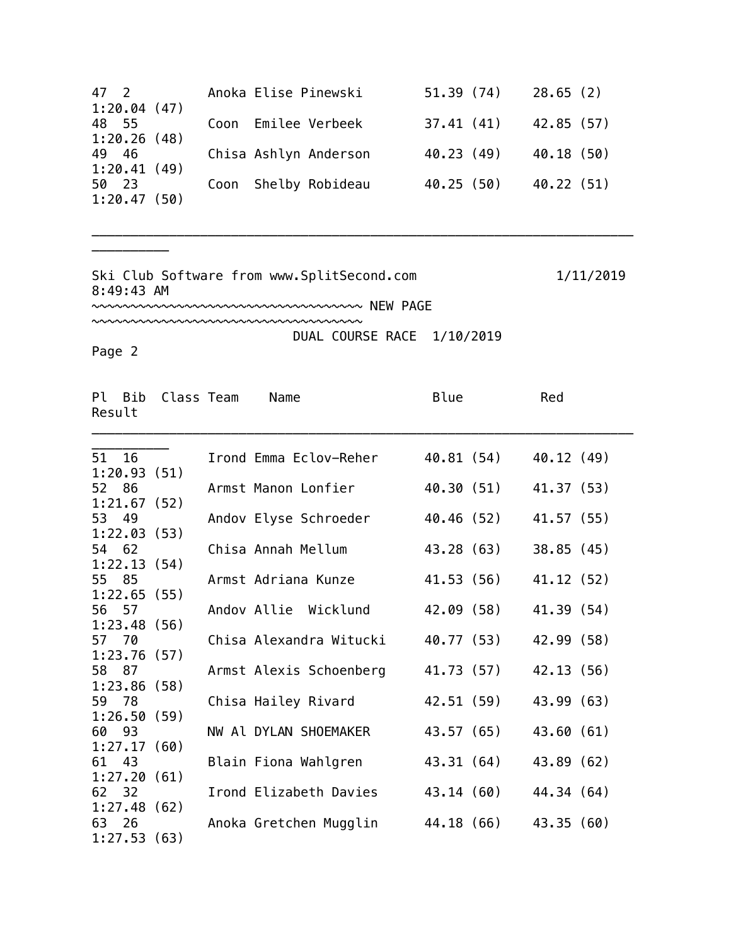| 47 2        | Anoka Elise Pinewski  | 51.39(74) | 28.65(2)   |
|-------------|-----------------------|-----------|------------|
| 1:20.04(47) |                       |           |            |
| 48 55       | Coon Emilee Verbeek   | 37.41(41) | 42.85 (57) |
| 1:20.26(48) |                       |           |            |
| 49 46       | Chisa Ashlyn Anderson | 40.23(49) | 40.18 (50) |
| 1:20.41(49) |                       |           |            |
| 50 23       | Coon Shelby Robideau  | 40.25(50) | 40.22 (51) |
| 1:20.47(50) |                       |           |            |

\_\_\_\_\_\_\_\_\_\_\_\_\_\_\_\_\_\_\_\_\_\_\_\_\_\_\_\_\_\_\_\_\_\_\_\_\_\_\_\_\_\_\_\_\_\_\_\_\_\_\_\_\_\_\_\_\_\_\_\_\_\_\_\_\_\_\_\_\_\_

Ski Club Software from www.SplitSecond.com 1/11/2019 8:49:43 AM

~~~~~~~~~~~~~~~~~~~~~~~~~~~~~~~~~~~ NEW PAGE

~~~~~~~~~~~~~~~~~~~~~~~~~~~~~~~~~~~

DUAL COURSE RACE 1/10/2019

Page 2

\_\_\_\_\_\_\_\_\_\_

| Pl Bib<br>Result |             | Class Team | Name                    | Blue       |            | Red        |
|------------------|-------------|------------|-------------------------|------------|------------|------------|
| 51 16            |             |            | Irond Emma Eclov-Reher  |            | 40.81 (54) | 40.12 (49) |
|                  | 1:20.93(51) |            |                         |            |            |            |
| 52 86            |             |            | Armst Manon Lonfier     |            | 40.30 (51) | 41.37 (53) |
|                  | 1:21.67(52) |            |                         |            |            |            |
| 53 49            |             |            | Andov Elyse Schroeder   |            | 40.46 (52) | 41.57 (55) |
|                  | 1:22.03(53) |            |                         |            |            |            |
| 54 62            |             |            | Chisa Annah Mellum      |            | 43.28 (63) | 38.85 (45) |
|                  | 1:22.13(54) |            |                         |            |            |            |
| 55 85            |             |            | Armst Adriana Kunze     |            | 41.53 (56) | 41.12 (52) |
|                  | 1:22.65(55) |            |                         |            |            |            |
| 56               | 57          |            | Andov Allie Wicklund    |            | 42.09 (58) | 41.39 (54) |
|                  | 1:23.48(56) |            |                         |            |            |            |
| 57 70            | 1:23.76(57) |            | Chisa Alexandra Witucki |            | 40.77 (53) | 42.99 (58) |
| 58 87            |             |            | Armst Alexis Schoenberg |            | 41.73 (57) | 42.13(56)  |
|                  | 1:23.86(58) |            |                         |            |            |            |
| 59 78            |             |            | Chisa Hailey Rivard     |            | 42.51 (59) | 43.99 (63) |
|                  | 1:26.50(59) |            |                         |            |            |            |
| 60 93            |             |            | NW Al DYLAN SHOEMAKER   | 43.57 (65) |            | 43.60 (61) |
|                  | 1:27.17(60) |            |                         |            |            |            |
| 61 43            |             |            | Blain Fiona Wahlgren    |            | 43.31 (64) | 43.89 (62) |
|                  | 1:27.20(61) |            |                         |            |            |            |
| 62 32            |             |            | Irond Elizabeth Davies  |            | 43.14 (60) | 44.34 (64) |
|                  | 1:27.48(62) |            |                         |            |            |            |
| 63 26            |             |            | Anoka Gretchen Mugglin  |            | 44.18 (66) | 43.35 (60) |
|                  | 1:27.53(63) |            |                         |            |            |            |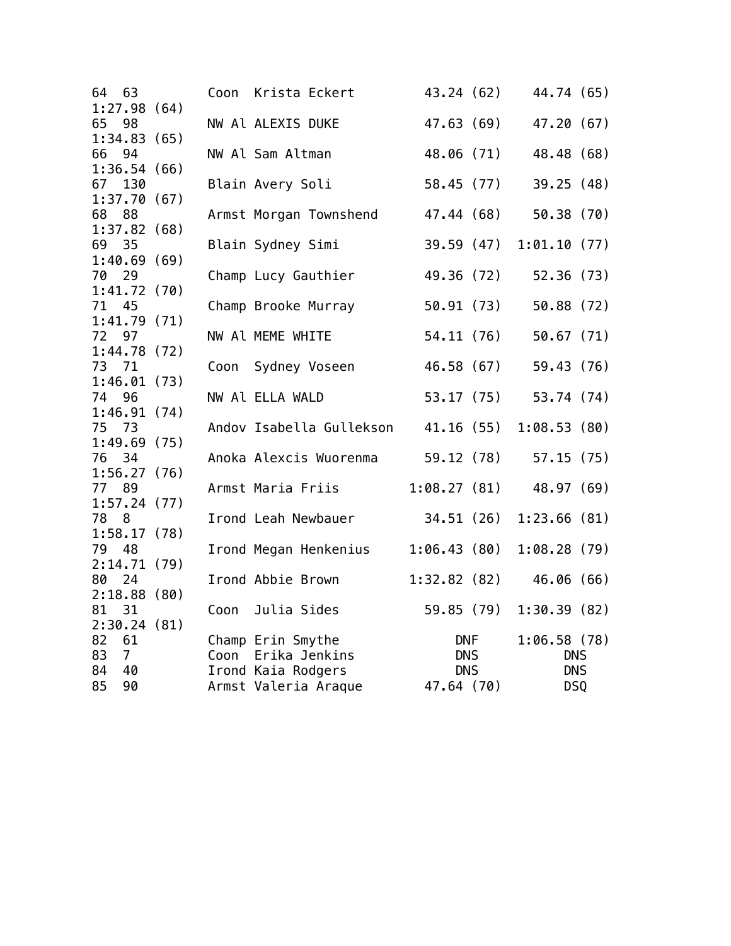| 64 63<br>1:27.98(64)      | Coon | Krista Eckert                              | 43.24 (62)               |            | 44.74 (65)        |  |
|---------------------------|------|--------------------------------------------|--------------------------|------------|-------------------|--|
| 65 98                     |      | NW Al ALEXIS DUKE                          | 47.63(69)                |            | 47.20(67)         |  |
| 1:34.83(65)<br>66 94      |      | NW Al Sam Altman                           | 48.06 (71)               |            | 48.48 (68)        |  |
| 1:36.54(66)<br>67<br>130  |      | Blain Avery Soli                           | 58.45 (77)               |            | 39.25(48)         |  |
| 1:37.70(67)<br>68<br>88   |      | Armst Morgan Townshend                     | 47.44 (68)               |            | 50.38 (70)        |  |
| 1:37.82(68)<br>69 35      |      | Blain Sydney Simi                          | 39.59 (47)               |            | 1:01.10(77)       |  |
| 1:40.69(69)<br>70<br>29   |      | Champ Lucy Gauthier                        |                          | 49.36 (72) | 52.36 (73)        |  |
| 1:41.72(70)               |      |                                            |                          |            |                   |  |
| 71<br>45<br>1:41.79(71)   |      | Champ Brooke Murray                        | 50.91(73)                |            | 50.88 (72)        |  |
| 72 97<br>1:44.78(72)      |      | NW Al MEME WHITE                           | 54.11 (76)               |            | 50.67(71)         |  |
| 73 71<br>1:46.01(73)      | Coon | Sydney Voseen                              | 46.58 (67)               |            | 59.43(76)         |  |
| 74<br>- 96<br>1:46.91(74) |      | NW Al ELLA WALD                            | 53.17(75)                |            | 53.74 (74)        |  |
| 75 73<br>1:49.69(75)      |      | Andov Isabella Gullekson                   | 41.16 (55)               |            | 1:08.53(80)       |  |
| 76<br>34                  |      | Anoka Alexcis Wuorenma                     |                          | 59.12 (78) | 57.15(75)         |  |
| 1:56.27(76)<br>77<br>- 89 |      | Armst Maria Friis                          | 1:08.27(81)              |            | 48.97 (69)        |  |
| 1:57.24(77)<br>78<br>- 8  |      | Irond Leah Newbauer                        | 34.51(26)                |            | 1:23.66(81)       |  |
| 1:58.17(78)<br>79<br>48   |      | Irond Megan Henkenius                      | 1:06.43(80)              |            | 1:08.28(79)       |  |
| 2:14.71(79)<br>80<br>24   |      | Irond Abbie Brown                          | 1:32.82(82)              |            | 46.06(66)         |  |
| 2:18.88(80)<br>81<br>31   | Coon | Julia Sides                                | 59.85 (79)               |            | 1:30.39(82)       |  |
| 2:30.24(81)<br>82<br>61   |      | Champ Erin Smythe                          |                          | DNF        | 1:06.58(78)       |  |
| 7 <sup>7</sup><br>83      |      | Coon Erika Jenkins                         | <b>DNS</b>               |            | <b>DNS</b>        |  |
| 40<br>84<br>85<br>90      |      | Irond Kaia Rodgers<br>Armst Valeria Araque | <b>DNS</b><br>47.64 (70) |            | <b>DNS</b><br>DSQ |  |